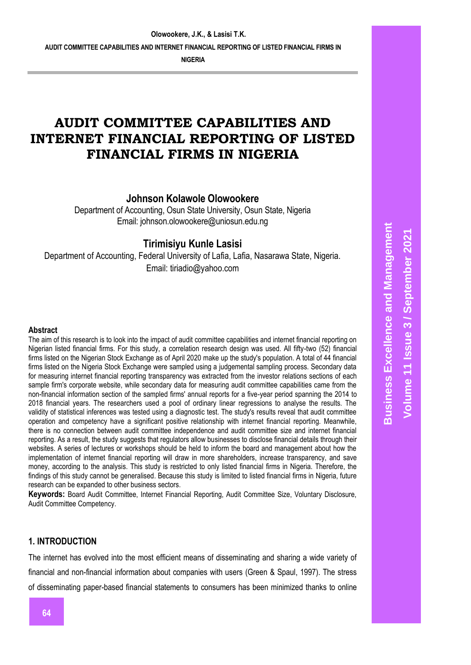**NIGERIA**

# **AUDIT COMMITTEE CAPABILITIES AND INTERNET FINANCIAL REPORTING OF LISTED FINANCIAL FIRMS IN NIGERIA**

## **Johnson Kolawole Olowookere**

Department of Accounting, Osun State University, Osun State, Nigeria Email: johnson.olowookere@uniosun.edu.ng

## **Tirimisiyu Kunle Lasisi**

Department of Accounting, Federal University of Lafia, Lafia, Nasarawa State, Nigeria. Email: tiriadio@yahoo.com

### **Abstract**

The aim of this research is to look into the impact of audit committee capabilities and internet financial reporting on Nigerian listed financial firms. For this study, a correlation research design was used. All fifty-two (52) financial firms listed on the Nigerian Stock Exchange as of April 2020 make up the study's population. A total of 44 financial firms listed on the Nigeria Stock Exchange were sampled using a judgemental sampling process. Secondary data for measuring internet financial reporting transparency was extracted from the investor relations sections of each sample firm's corporate website, while secondary data for measuring audit committee capabilities came from the non-financial information section of the sampled firms' annual reports for a five-year period spanning the 2014 to 2018 financial years. The researchers used a pool of ordinary linear regressions to analyse the results. The validity of statistical inferences was tested using a diagnostic test. The study's results reveal that audit committee operation and competency have a significant positive relationship with internet financial reporting. Meanwhile, there is no connection between audit committee independence and audit committee size and internet financial reporting. As a result, the study suggests that regulators allow businesses to disclose financial details through their websites. A series of lectures or workshops should be held to inform the board and management about how the implementation of internet financial reporting will draw in more shareholders, increase transparency, and save money, according to the analysis. This study is restricted to only listed financial firms in Nigeria. Therefore, the findings of this study cannot be generalised. Because this study is limited to listed financial firms in Nigeria, future research can be expanded to other business sectors.

**Keywords:** Board Audit Committee, Internet Financial Reporting, Audit Committee Size, Voluntary Disclosure, Audit Committee Competency.

## **1. INTRODUCTION**

The internet has evolved into the most efficient means of disseminating and sharing a wide variety of financial and non-financial information about companies with users (Green & Spaul, 1997). The stress of disseminating paper-based financial statements to consumers has been minimized thanks to online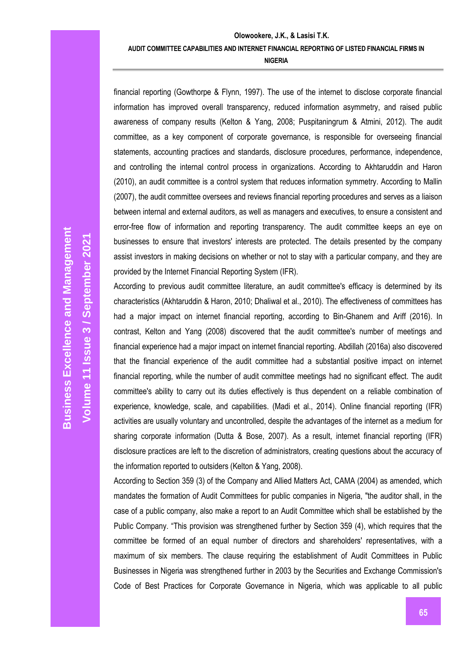## **Olowookere, J.K., & Lasisi T.K. AUDIT COMMITTEE CAPABILITIES AND INTERNET FINANCIAL REPORTING OF LISTED FINANCIAL FIRMS IN**

**NIGERIA**

financial reporting (Gowthorpe & Flynn, 1997). The use of the internet to disclose corporate financial information has improved overall transparency, reduced information asymmetry, and raised public awareness of company results (Kelton & Yang, 2008; Puspitaningrum & Atmini, 2012). The audit committee, as a key component of corporate governance, is responsible for overseeing financial statements, accounting practices and standards, disclosure procedures, performance, independence, and controlling the internal control process in organizations. According to Akhtaruddin and Haron (2010), an audit committee is a control system that reduces information symmetry. According to Mallin (2007), the audit committee oversees and reviews financial reporting procedures and serves as a liaison between internal and external auditors, as well as managers and executives, to ensure a consistent and error-free flow of information and reporting transparency. The audit committee keeps an eye on businesses to ensure that investors' interests are protected. The details presented by the company assist investors in making decisions on whether or not to stay with a particular company, and they are provided by the Internet Financial Reporting System (IFR).

According to previous audit committee literature, an audit committee's efficacy is determined by its characteristics (Akhtaruddin & Haron, 2010; Dhaliwal et al., 2010). The effectiveness of committees has had a major impact on internet financial reporting, according to Bin-Ghanem and Ariff (2016). In contrast, Kelton and Yang (2008) discovered that the audit committee's number of meetings and financial experience had a major impact on internet financial reporting. Abdillah (2016a) also discovered that the financial experience of the audit committee had a substantial positive impact on internet financial reporting, while the number of audit committee meetings had no significant effect. The audit committee's ability to carry out its duties effectively is thus dependent on a reliable combination of experience, knowledge, scale, and capabilities. (Madi et al., 2014). Online financial reporting (IFR) activities are usually voluntary and uncontrolled, despite the advantages of the internet as a medium for sharing corporate information (Dutta & Bose, 2007). As a result, internet financial reporting (IFR) disclosure practices are left to the discretion of administrators, creating questions about the accuracy of the information reported to outsiders (Kelton & Yang, 2008).

According to Section 359 (3) of the Company and Allied Matters Act, CAMA (2004) as amended, which mandates the formation of Audit Committees for public companies in Nigeria, "the auditor shall, in the case of a public company, also make a report to an Audit Committee which shall be established by the Public Company. "This provision was strengthened further by Section 359 (4), which requires that the committee be formed of an equal number of directors and shareholders' representatives, with a maximum of six members. The clause requiring the establishment of Audit Committees in Public Businesses in Nigeria was strengthened further in 2003 by the Securities and Exchange Commission's Code of Best Practices for Corporate Governance in Nigeria, which was applicable to all public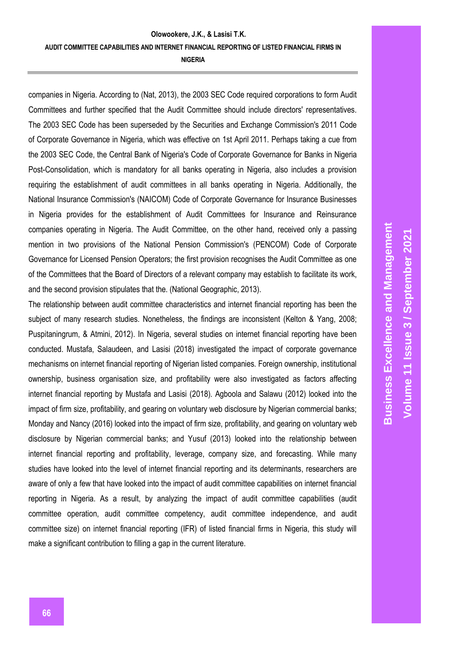## **Olowookere, J.K., & Lasisi T.K. AUDIT COMMITTEE CAPABILITIES AND INTERNET FINANCIAL REPORTING OF LISTED FINANCIAL FIRMS IN NIGERIA**

companies in Nigeria. According to (Nat, 2013), the 2003 SEC Code required corporations to form Audit Committees and further specified that the Audit Committee should include directors' representatives. The 2003 SEC Code has been superseded by the Securities and Exchange Commission's 2011 Code of Corporate Governance in Nigeria, which was effective on 1st April 2011. Perhaps taking a cue from the 2003 SEC Code, the Central Bank of Nigeria's Code of Corporate Governance for Banks in Nigeria Post-Consolidation, which is mandatory for all banks operating in Nigeria, also includes a provision requiring the establishment of audit committees in all banks operating in Nigeria. Additionally, the National Insurance Commission's (NAICOM) Code of Corporate Governance for Insurance Businesses in Nigeria provides for the establishment of Audit Committees for Insurance and Reinsurance companies operating in Nigeria. The Audit Committee, on the other hand, received only a passing mention in two provisions of the National Pension Commission's (PENCOM) Code of Corporate Governance for Licensed Pension Operators; the first provision recognises the Audit Committee as one of the Committees that the Board of Directors of a relevant company may establish to facilitate its work, and the second provision stipulates that the. (National Geographic, 2013).

The relationship between audit committee characteristics and internet financial reporting has been the subject of many research studies. Nonetheless, the findings are inconsistent (Kelton & Yang, 2008; Puspitaningrum, & Atmini, 2012). In Nigeria, several studies on internet financial reporting have been conducted. Mustafa, Salaudeen, and Lasisi (2018) investigated the impact of corporate governance mechanisms on internet financial reporting of Nigerian listed companies. Foreign ownership, institutional ownership, business organisation size, and profitability were also investigated as factors affecting internet financial reporting by Mustafa and Lasisi (2018). Agboola and Salawu (2012) looked into the impact of firm size, profitability, and gearing on voluntary web disclosure by Nigerian commercial banks; Monday and Nancy (2016) looked into the impact of firm size, profitability, and gearing on voluntary web disclosure by Nigerian commercial banks; and Yusuf (2013) looked into the relationship between internet financial reporting and profitability, leverage, company size, and forecasting. While many studies have looked into the level of internet financial reporting and its determinants, researchers are aware of only a few that have looked into the impact of audit committee capabilities on internet financial reporting in Nigeria. As a result, by analyzing the impact of audit committee capabilities (audit committee operation, audit committee competency, audit committee independence, and audit committee size) on internet financial reporting (IFR) of listed financial firms in Nigeria, this study will make a significant contribution to filling a gap in the current literature.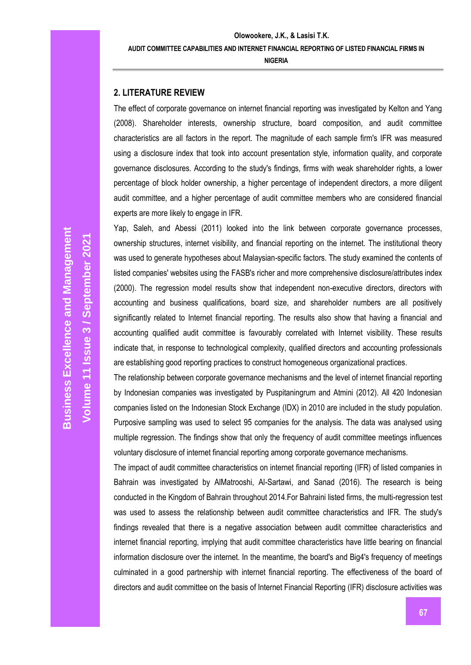## **2. LITERATURE REVIEW**

The effect of corporate governance on internet financial reporting was investigated by Kelton and Yang (2008). Shareholder interests, ownership structure, board composition, and audit committee characteristics are all factors in the report. The magnitude of each sample firm's IFR was measured using a disclosure index that took into account presentation style, information quality, and corporate governance disclosures. According to the study's findings, firms with weak shareholder rights, a lower percentage of block holder ownership, a higher percentage of independent directors, a more diligent audit committee, and a higher percentage of audit committee members who are considered financial experts are more likely to engage in IFR.

Yap, Saleh, and Abessi (2011) looked into the link between corporate governance processes, ownership structures, internet visibility, and financial reporting on the internet. The institutional theory was used to generate hypotheses about Malaysian-specific factors. The study examined the contents of listed companies' websites using the FASB's richer and more comprehensive disclosure/attributes index (2000). The regression model results show that independent non-executive directors, directors with accounting and business qualifications, board size, and shareholder numbers are all positively significantly related to Internet financial reporting. The results also show that having a financial and accounting qualified audit committee is favourably correlated with Internet visibility. These results indicate that, in response to technological complexity, qualified directors and accounting professionals are establishing good reporting practices to construct homogeneous organizational practices.

The relationship between corporate governance mechanisms and the level of internet financial reporting by Indonesian companies was investigated by Puspitaningrum and Atmini (2012). All 420 Indonesian companies listed on the Indonesian Stock Exchange (IDX) in 2010 are included in the study population. Purposive sampling was used to select 95 companies for the analysis. The data was analysed using multiple regression. The findings show that only the frequency of audit committee meetings influences voluntary disclosure of internet financial reporting among corporate governance mechanisms.

The impact of audit committee characteristics on internet financial reporting (IFR) of listed companies in Bahrain was investigated by AlMatrooshi, Al-Sartawi, and Sanad (2016). The research is being conducted in the Kingdom of Bahrain throughout 2014.For Bahraini listed firms, the multi-regression test was used to assess the relationship between audit committee characteristics and IFR. The study's findings revealed that there is a negative association between audit committee characteristics and internet financial reporting, implying that audit committee characteristics have little bearing on financial information disclosure over the internet. In the meantime, the board's and Big4's frequency of meetings culminated in a good partnership with internet financial reporting. The effectiveness of the board of directors and audit committee on the basis of Internet Financial Reporting (IFR) disclosure activities was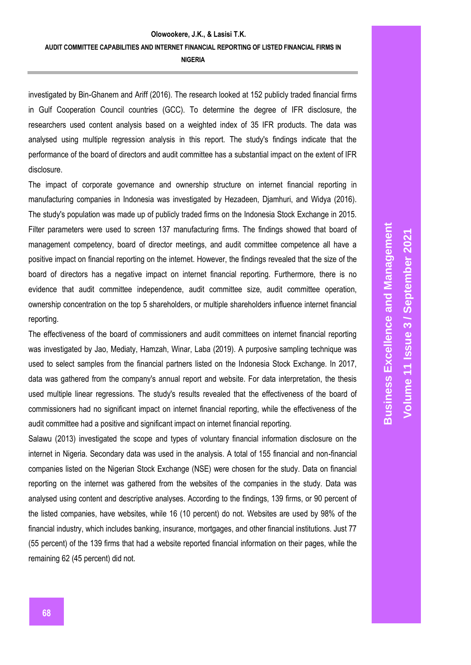## **Olowookere, J.K., & Lasisi T.K. AUDIT COMMITTEE CAPABILITIES AND INTERNET FINANCIAL REPORTING OF LISTED FINANCIAL FIRMS IN NIGERIA**

investigated by Bin-Ghanem and Ariff (2016). The research looked at 152 publicly traded financial firms in Gulf Cooperation Council countries (GCC). To determine the degree of IFR disclosure, the researchers used content analysis based on a weighted index of 35 IFR products. The data was analysed using multiple regression analysis in this report. The study's findings indicate that the performance of the board of directors and audit committee has a substantial impact on the extent of IFR disclosure.

The impact of corporate governance and ownership structure on internet financial reporting in manufacturing companies in Indonesia was investigated by Hezadeen, Djamhuri, and Widya (2016). The study's population was made up of publicly traded firms on the Indonesia Stock Exchange in 2015. Filter parameters were used to screen 137 manufacturing firms. The findings showed that board of management competency, board of director meetings, and audit committee competence all have a positive impact on financial reporting on the internet. However, the findings revealed that the size of the board of directors has a negative impact on internet financial reporting. Furthermore, there is no evidence that audit committee independence, audit committee size, audit committee operation, ownership concentration on the top 5 shareholders, or multiple shareholders influence internet financial reporting.

The effectiveness of the board of commissioners and audit committees on internet financial reporting was investigated by Jao, Mediaty, Hamzah, Winar, Laba (2019). A purposive sampling technique was used to select samples from the financial partners listed on the Indonesia Stock Exchange. In 2017, data was gathered from the company's annual report and website. For data interpretation, the thesis used multiple linear regressions. The study's results revealed that the effectiveness of the board of commissioners had no significant impact on internet financial reporting, while the effectiveness of the audit committee had a positive and significant impact on internet financial reporting.

Salawu (2013) investigated the scope and types of voluntary financial information disclosure on the internet in Nigeria. Secondary data was used in the analysis. A total of 155 financial and non-financial companies listed on the Nigerian Stock Exchange (NSE) were chosen for the study. Data on financial reporting on the internet was gathered from the websites of the companies in the study. Data was analysed using content and descriptive analyses. According to the findings, 139 firms, or 90 percent of the listed companies, have websites, while 16 (10 percent) do not. Websites are used by 98% of the financial industry, which includes banking, insurance, mortgages, and other financial institutions. Just 77 (55 percent) of the 139 firms that had a website reported financial information on their pages, while the remaining 62 (45 percent) did not.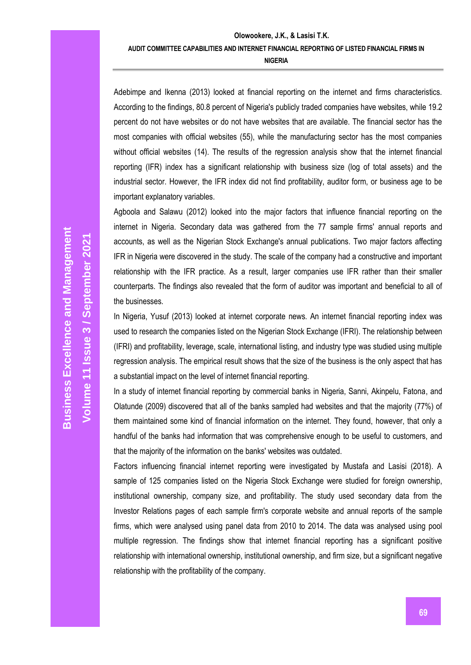### **Olowookere, J.K., & Lasisi T.K. AUDIT COMMITTEE CAPABILITIES AND INTERNET FINANCIAL REPORTING OF LISTED FINANCIAL FIRMS IN NIGERIA**

Adebimpe and Ikenna (2013) looked at financial reporting on the internet and firms characteristics. According to the findings, 80.8 percent of Nigeria's publicly traded companies have websites, while 19.2 percent do not have websites or do not have websites that are available. The financial sector has the most companies with official websites (55), while the manufacturing sector has the most companies without official websites (14). The results of the regression analysis show that the internet financial reporting (IFR) index has a significant relationship with business size (log of total assets) and the industrial sector. However, the IFR index did not find profitability, auditor form, or business age to be important explanatory variables.

Agboola and Salawu (2012) looked into the major factors that influence financial reporting on the internet in Nigeria. Secondary data was gathered from the 77 sample firms' annual reports and accounts, as well as the Nigerian Stock Exchange's annual publications. Two major factors affecting IFR in Nigeria were discovered in the study. The scale of the company had a constructive and important relationship with the IFR practice. As a result, larger companies use IFR rather than their smaller counterparts. The findings also revealed that the form of auditor was important and beneficial to all of the businesses.

In Nigeria, Yusuf (2013) looked at internet corporate news. An internet financial reporting index was used to research the companies listed on the Nigerian Stock Exchange (IFRI). The relationship between (IFRI) and profitability, leverage, scale, international listing, and industry type was studied using multiple regression analysis. The empirical result shows that the size of the business is the only aspect that has a substantial impact on the level of internet financial reporting.

In a study of internet financial reporting by commercial banks in Nigeria, Sanni, Akinpelu, Fatona, and Olatunde (2009) discovered that all of the banks sampled had websites and that the majority (77%) of them maintained some kind of financial information on the internet. They found, however, that only a handful of the banks had information that was comprehensive enough to be useful to customers, and that the majority of the information on the banks' websites was outdated.

Factors influencing financial internet reporting were investigated by Mustafa and Lasisi (2018). A sample of 125 companies listed on the Nigeria Stock Exchange were studied for foreign ownership, institutional ownership, company size, and profitability. The study used secondary data from the Investor Relations pages of each sample firm's corporate website and annual reports of the sample firms, which were analysed using panel data from 2010 to 2014. The data was analysed using pool multiple regression. The findings show that internet financial reporting has a significant positive relationship with international ownership, institutional ownership, and firm size, but a significant negative relationship with the profitability of the company.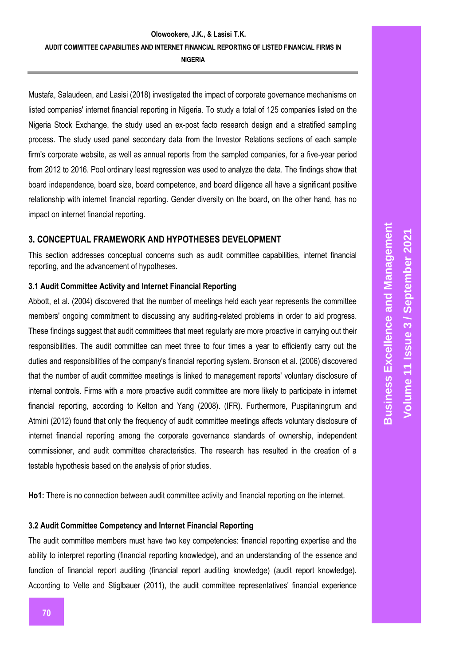Mustafa, Salaudeen, and Lasisi (2018) investigated the impact of corporate governance mechanisms on listed companies' internet financial reporting in Nigeria. To study a total of 125 companies listed on the Nigeria Stock Exchange, the study used an ex-post facto research design and a stratified sampling process. The study used panel secondary data from the Investor Relations sections of each sample firm's corporate website, as well as annual reports from the sampled companies, for a five-year period from 2012 to 2016. Pool ordinary least regression was used to analyze the data. The findings show that board independence, board size, board competence, and board diligence all have a significant positive relationship with internet financial reporting. Gender diversity on the board, on the other hand, has no impact on internet financial reporting.

## **3. CONCEPTUAL FRAMEWORK AND HYPOTHESES DEVELOPMENT**

This section addresses conceptual concerns such as audit committee capabilities, internet financial reporting, and the advancement of hypotheses.

## **3.1 Audit Committee Activity and Internet Financial Reporting**

Abbott, et al. (2004) discovered that the number of meetings held each year represents the committee members' ongoing commitment to discussing any auditing-related problems in order to aid progress. These findings suggest that audit committees that meet regularly are more proactive in carrying out their responsibilities. The audit committee can meet three to four times a year to efficiently carry out the duties and responsibilities of the company's financial reporting system. Bronson et al. (2006) discovered that the number of audit committee meetings is linked to management reports' voluntary disclosure of internal controls. Firms with a more proactive audit committee are more likely to participate in internet financial reporting, according to Kelton and Yang (2008). (IFR). Furthermore, Puspitaningrum and Atmini (2012) found that only the frequency of audit committee meetings affects voluntary disclosure of internet financial reporting among the corporate governance standards of ownership, independent commissioner, and audit committee characteristics. The research has resulted in the creation of a testable hypothesis based on the analysis of prior studies.

**Ho1:** There is no connection between audit committee activity and financial reporting on the internet.

## **3.2 Audit Committee Competency and Internet Financial Reporting**

The audit committee members must have two key competencies: financial reporting expertise and the ability to interpret reporting (financial reporting knowledge), and an understanding of the essence and function of financial report auditing (financial report auditing knowledge) (audit report knowledge). According to Velte and Stiglbauer (2011), the audit committee representatives' financial experience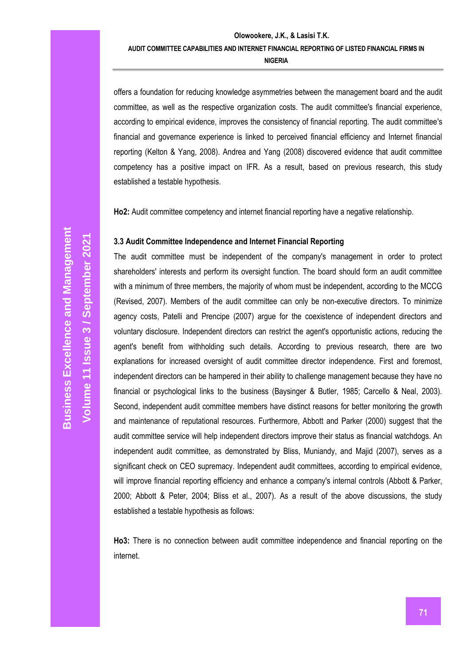offers a foundation for reducing knowledge asymmetries between the management board and the audit committee, as well as the respective organization costs. The audit committee's financial experience, according to empirical evidence, improves the consistency of financial reporting. The audit committee's financial and governance experience is linked to perceived financial efficiency and Internet financial reporting (Kelton & Yang, 2008). Andrea and Yang (2008) discovered evidence that audit committee competency has a positive impact on IFR. As a result, based on previous research, this study established a testable hypothesis.

**Ho2:** Audit committee competency and internet financial reporting have a negative relationship.

### **3.3 Audit Committee Independence and Internet Financial Reporting**

The audit committee must be independent of the company's management in order to protect shareholders' interests and perform its oversight function. The board should form an audit committee with a minimum of three members, the majority of whom must be independent, according to the MCCG (Revised, 2007). Members of the audit committee can only be non-executive directors. To minimize agency costs, Patelli and Prencipe (2007) argue for the coexistence of independent directors and voluntary disclosure. Independent directors can restrict the agent's opportunistic actions, reducing the agent's benefit from withholding such details. According to previous research, there are two explanations for increased oversight of audit committee director independence. First and foremost, independent directors can be hampered in their ability to challenge management because they have no financial or psychological links to the business (Baysinger & Butler, 1985; Carcello & Neal, 2003). Second, independent audit committee members have distinct reasons for better monitoring the growth and maintenance of reputational resources. Furthermore, Abbott and Parker (2000) suggest that the audit committee service will help independent directors improve their status as financial watchdogs. An independent audit committee, as demonstrated by Bliss, Muniandy, and Majid (2007), serves as a significant check on CEO supremacy. Independent audit committees, according to empirical evidence, will improve financial reporting efficiency and enhance a company's internal controls (Abbott & Parker, 2000; Abbott & Peter, 2004; Bliss et al., 2007). As a result of the above discussions, the study established a testable hypothesis as follows:

**Ho3:** There is no connection between audit committee independence and financial reporting on the internet.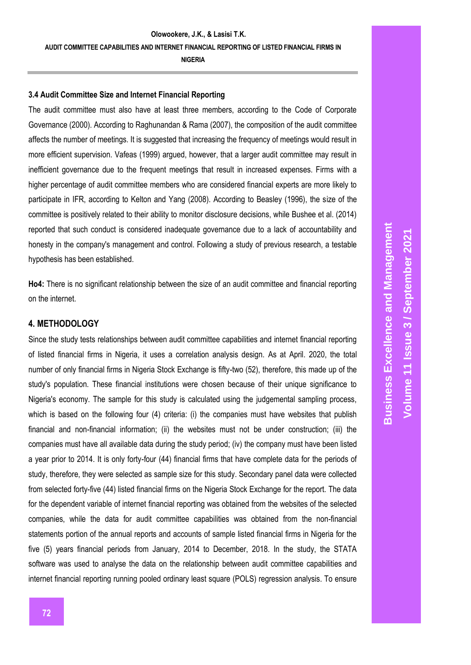### **3.4 Audit Committee Size and Internet Financial Reporting**

The audit committee must also have at least three members, according to the Code of Corporate Governance (2000). According to Raghunandan & Rama (2007), the composition of the audit committee affects the number of meetings. It is suggested that increasing the frequency of meetings would result in more efficient supervision. Vafeas (1999) argued, however, that a larger audit committee may result in inefficient governance due to the frequent meetings that result in increased expenses. Firms with a higher percentage of audit committee members who are considered financial experts are more likely to participate in IFR, according to Kelton and Yang (2008). According to Beasley (1996), the size of the committee is positively related to their ability to monitor disclosure decisions, while Bushee et al. (2014) reported that such conduct is considered inadequate governance due to a lack of accountability and honesty in the company's management and control. Following a study of previous research, a testable hypothesis has been established.

**Ho4:** There is no significant relationship between the size of an audit committee and financial reporting on the internet.

### **4. METHODOLOGY**

Since the study tests relationships between audit committee capabilities and internet financial reporting of listed financial firms in Nigeria, it uses a correlation analysis design. As at April. 2020, the total number of only financial firms in Nigeria Stock Exchange is fifty-two (52), therefore, this made up of the study's population. These financial institutions were chosen because of their unique significance to Nigeria's economy. The sample for this study is calculated using the judgemental sampling process, which is based on the following four (4) criteria: (i) the companies must have websites that publish financial and non-financial information; (ii) the websites must not be under construction; (iii) the companies must have all available data during the study period; (iv) the company must have been listed a year prior to 2014. It is only forty-four (44) financial firms that have complete data for the periods of study, therefore, they were selected as sample size for this study. Secondary panel data were collected from selected forty-five (44) listed financial firms on the Nigeria Stock Exchange for the report. The data for the dependent variable of internet financial reporting was obtained from the websites of the selected companies, while the data for audit committee capabilities was obtained from the non-financial statements portion of the annual reports and accounts of sample listed financial firms in Nigeria for the five (5) years financial periods from January, 2014 to December, 2018. In the study, the STATA software was used to analyse the data on the relationship between audit committee capabilities and internet financial reporting running pooled ordinary least square (POLS) regression analysis. To ensure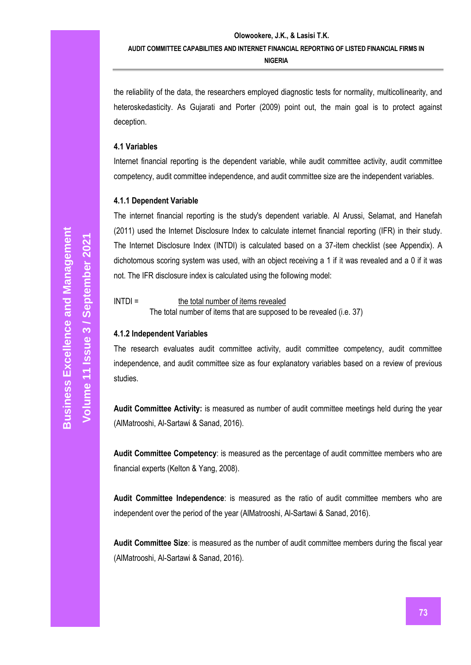the reliability of the data, the researchers employed diagnostic tests for normality, multicollinearity, and heteroskedasticity. As Gujarati and Porter (2009) point out, the main goal is to protect against deception.

### **4.1 Variables**

Internet financial reporting is the dependent variable, while audit committee activity, audit committee competency, audit committee independence, and audit committee size are the independent variables.

### **4.1.1 Dependent Variable**

The internet financial reporting is the study's dependent variable. Al Arussi, Selamat, and Hanefah (2011) used the Internet Disclosure Index to calculate internet financial reporting (IFR) in their study. The Internet Disclosure Index (INTDI) is calculated based on a 37-item checklist (see Appendix). A dichotomous scoring system was used, with an object receiving a 1 if it was revealed and a 0 if it was not. The IFR disclosure index is calculated using the following model:

INTDI = the total number of items revealed The total number of items that are supposed to be revealed (i.e. 37)

## **4.1.2 Independent Variables**

The research evaluates audit committee activity, audit committee competency, audit committee independence, and audit committee size as four explanatory variables based on a review of previous studies.

**Audit Committee Activity:** is measured as number of audit committee meetings held during the year (AlMatrooshi, Al-Sartawi & Sanad, 2016).

**Audit Committee Competency**: is measured as the percentage of audit committee members who are financial experts (Kelton & Yang, 2008).

**Audit Committee Independence**: is measured as the ratio of audit committee members who are independent over the period of the year (AlMatrooshi, Al-Sartawi & Sanad, 2016).

**Audit Committee Size**: is measured as the number of audit committee members during the fiscal year (AlMatrooshi, Al-Sartawi & Sanad, 2016).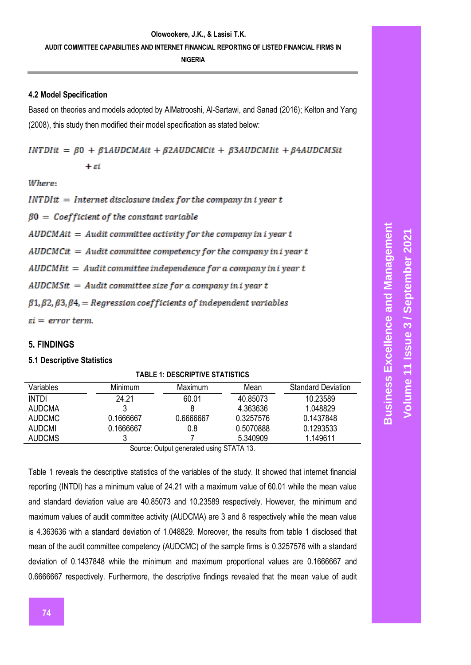### **4.2 Model Specification**

Based on theories and models adopted by AlMatrooshi, Al-Sartawi, and Sanad (2016); Kelton and Yang (2008), this study then modified their model specification as stated below:

 $INTDlit = \beta 0 + \beta 1 A U D C M A it + \beta 2 A U D C M C it + \beta 3 A U D C M it + \beta 4 A U D C M S it$ 

 $+ \varepsilon i$ 

Where:

 $INTDlit = Internet$  disclosure index for the company in i year t

 $\beta 0 = Coefficient of the constant variable$ 

 $AUDCMAit = Audit committee activity for the company in i year t$ 

 $AUDCMC$ it = Audit committee competency for the company in i year t

 $AUDCMI$ it = Audit committee independence for a company in i year t

 $AUDCMS$  = Audit committee size for a company in i year t

 $\beta$ 1,  $\beta$ 2,  $\beta$ 3,  $\beta$ 4, = Regression coefficients of independent variables

 $\epsilon i = error term$ .

## **5. FINDINGS**

### **5.1 Descriptive Statistics**

**TABLE 1: DESCRIPTIVE STATISTICS**

| Variables     | <b>Minimum</b> | Maximum   | Mean      | <b>Standard Deviation</b> |
|---------------|----------------|-----------|-----------|---------------------------|
| <b>INTDI</b>  | 24.21          | 60.01     | 40.85073  | 10.23589                  |
| <b>AUDCMA</b> |                |           | 4.363636  | 1.048829                  |
| AUDCMC        | 0.1666667      | 0.6666667 | 0.3257576 | 0.1437848                 |
| <b>AUDCMI</b> | 0.1666667      | 0.8       | 0.5070888 | 0.1293533                 |
| <b>AUDCMS</b> |                |           | 5.340909  | 1.149611                  |

Source: Output generated using STATA 13.

Table 1 reveals the descriptive statistics of the variables of the study. It showed that internet financial reporting (INTDI) has a minimum value of 24.21 with a maximum value of 60.01 while the mean value and standard deviation value are 40.85073 and 10.23589 respectively. However, the minimum and maximum values of audit committee activity (AUDCMA) are 3 and 8 respectively while the mean value is 4.363636 with a standard deviation of 1.048829. Moreover, the results from table 1 disclosed that mean of the audit committee competency (AUDCMC) of the sample firms is 0.3257576 with a standard deviation of 0.1437848 while the minimum and maximum proportional values are 0.1666667 and 0.6666667 respectively. Furthermore, the descriptive findings revealed that the mean value of audit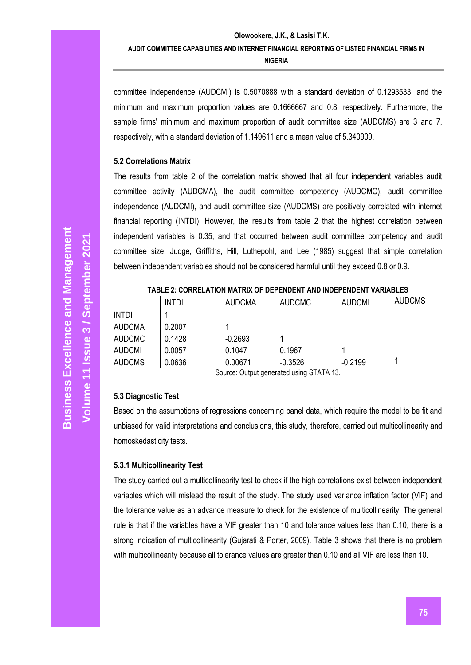committee independence (AUDCMI) is 0.5070888 with a standard deviation of 0.1293533, and the minimum and maximum proportion values are 0.1666667 and 0.8, respectively. Furthermore, the sample firms' minimum and maximum proportion of audit committee size (AUDCMS) are 3 and 7, respectively, with a standard deviation of 1.149611 and a mean value of 5.340909.

### **5.2 Correlations Matrix**

The results from table 2 of the correlation matrix showed that all four independent variables audit committee activity (AUDCMA), the audit committee competency (AUDCMC), audit committee independence (AUDCMI), and audit committee size (AUDCMS) are positively correlated with internet financial reporting (INTDI). However, the results from table 2 that the highest correlation between independent variables is 0.35, and that occurred between audit committee competency and audit committee size. Judge, Griffiths, Hill, Luthepohl, and Lee (1985) suggest that simple correlation between independent variables should not be considered harmful until they exceed 0.8 or 0.9.

| <b>INTDI</b> | <b>AUDCMA</b> | <b>AUDCMC</b> | <b>AUDCMI</b>                              | <b>AUDCMS</b>          |
|--------------|---------------|---------------|--------------------------------------------|------------------------|
|              |               |               |                                            |                        |
| 0.2007       |               |               |                                            |                        |
| 0.1428       | $-0.2693$     |               |                                            |                        |
| 0.0057       | 0.1047        | 0.1967        |                                            |                        |
| 0.0636       | 0.00671       | $-0.3526$     | $-0.2199$                                  |                        |
|              |               |               | $\mathbf{a}$ . $\mathbf{a}$ . $\mathbf{b}$ | $\sim$ 1.1.1.0 TATA 40 |

**TABLE 2: CORRELATION MATRIX OF DEPENDENT AND INDEPENDENT VARIABLES**

Source: Output generated using STATA 13.

### **5.3 Diagnostic Test**

Based on the assumptions of regressions concerning panel data, which require the model to be fit and unbiased for valid interpretations and conclusions, this study, therefore, carried out multicollinearity and homoskedasticity tests.

### **5.3.1 Multicollinearity Test**

The study carried out a multicollinearity test to check if the high correlations exist between independent variables which will mislead the result of the study. The study used variance inflation factor (VIF) and the tolerance value as an advance measure to check for the existence of multicollinearity. The general rule is that if the variables have a VIF greater than 10 and tolerance values less than 0.10, there is a strong indication of multicollinearity (Gujarati & Porter, 2009). Table 3 shows that there is no problem with multicollinearity because all tolerance values are greater than 0.10 and all VIF are less than 10.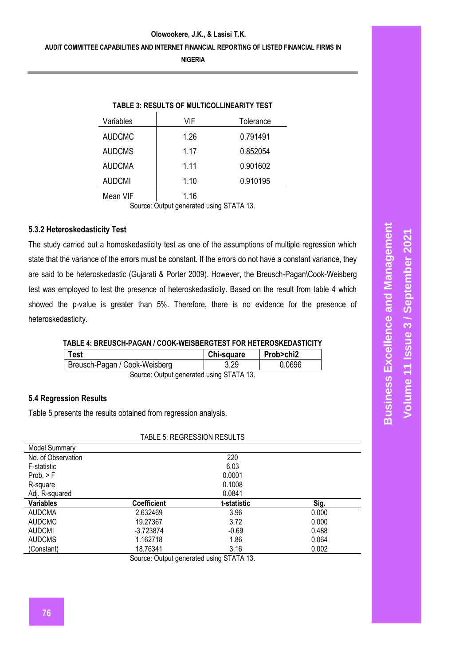## **Olowookere, J.K., & Lasisi T.K. AUDIT COMMITTEE CAPABILITIES AND INTERNET FINANCIAL REPORTING OF LISTED FINANCIAL FIRMS IN**

**NIGERIA**

**TABLE 3: RESULTS OF MULTICOLLINEARITY TEST**

| TABLE 3: RESULTS OF MULTICOLLINEARITY TEST |      |           |  |  |  |
|--------------------------------------------|------|-----------|--|--|--|
| Variables                                  | VIF  | Tolerance |  |  |  |
| <b>AUDCMC</b>                              | 1.26 | 0.791491  |  |  |  |
| <b>AUDCMS</b>                              | 1.17 | 0.852054  |  |  |  |
| <b>AUDCMA</b>                              | 1.11 | 0.901602  |  |  |  |
| <b>AUDCMI</b>                              | 1.10 | 0.910195  |  |  |  |
| Mean VIF                                   | 1.16 | -------   |  |  |  |

Source: Output generated using STATA 13.

### **5.3.2 Heteroskedasticity Test**

The study carried out a homoskedasticity test as one of the assumptions of multiple regression which state that the variance of the errors must be constant. If the errors do not have a constant variance, they are said to be heteroskedastic (Gujarati & Porter 2009). However, the Breusch-Pagan\Cook-Weisberg test was employed to test the presence of heteroskedasticity. Based on the result from table 4 which showed the p-value is greater than 5%. Therefore, there is no evidence for the presence of heteroskedasticity.

### **TABLE 4: BREUSCH-PAGAN / COOK-WEISBERGTEST FOR HETEROSKEDASTICITY**

| Test                                     | <b>Chi-square</b> | Prob>chi2 |  |
|------------------------------------------|-------------------|-----------|--|
| Breusch-Pagan / Cook-Weisberg            | 3.29              | 0.0696    |  |
| Source: Output generated using STATA 13. |                   |           |  |

### **5.4 Regression Results**

Table 5 presents the results obtained from regression analysis.

| TABLE 5: REGRESSION RESULTS |                    |             |       |  |  |
|-----------------------------|--------------------|-------------|-------|--|--|
| <b>Model Summary</b>        |                    |             |       |  |  |
| No. of Observation          |                    | 220         |       |  |  |
| F-statistic                 |                    | 6.03        |       |  |  |
| Prob. > F                   |                    | 0.0001      |       |  |  |
| R-square                    |                    | 0.1008      |       |  |  |
| Adj. R-squared              |                    | 0.0841      |       |  |  |
| <b>Variables</b>            | <b>Coefficient</b> | t-statistic | Sig.  |  |  |
| <b>AUDCMA</b>               | 2.632469           | 3.96        | 0.000 |  |  |
| <b>AUDCMC</b>               | 19.27367           | 3.72        | 0.000 |  |  |
| <b>AUDCMI</b>               | $-3.723874$        | $-0.69$     | 0.488 |  |  |
| <b>AUDCMS</b>               | 1.162718           | 1.86        | 0.064 |  |  |
| (Constant)                  | 18.76341           | 3.16        | 0.002 |  |  |

Source: Output generated using STATA 13.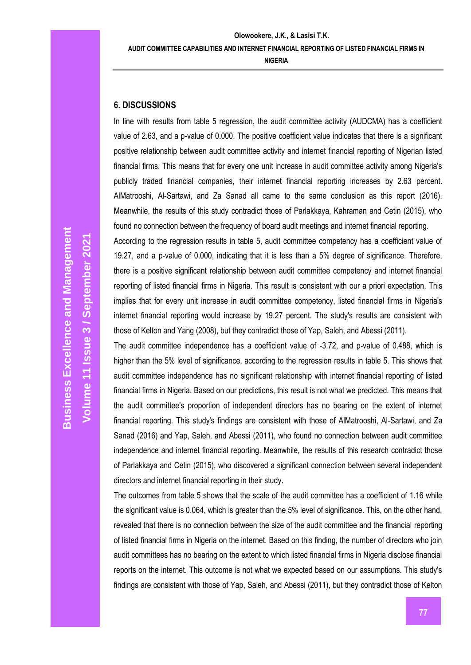### **6. DISCUSSIONS**

In line with results from table 5 regression, the audit committee activity (AUDCMA) has a coefficient value of 2.63, and a p-value of 0.000. The positive coefficient value indicates that there is a significant positive relationship between audit committee activity and internet financial reporting of Nigerian listed financial firms. This means that for every one unit increase in audit committee activity among Nigeria's publicly traded financial companies, their internet financial reporting increases by 2.63 percent. AlMatrooshi, Al-Sartawi, and Za Sanad all came to the same conclusion as this report (2016). Meanwhile, the results of this study contradict those of Parlakkaya, Kahraman and Cetin (2015), who found no connection between the frequency of board audit meetings and internet financial reporting.

According to the regression results in table 5, audit committee competency has a coefficient value of 19.27, and a p-value of 0.000, indicating that it is less than a 5% degree of significance. Therefore, there is a positive significant relationship between audit committee competency and internet financial reporting of listed financial firms in Nigeria. This result is consistent with our a priori expectation. This implies that for every unit increase in audit committee competency, listed financial firms in Nigeria's internet financial reporting would increase by 19.27 percent. The study's results are consistent with those of Kelton and Yang (2008), but they contradict those of Yap, Saleh, and Abessi (2011).

The audit committee independence has a coefficient value of -3.72, and p-value of 0.488, which is higher than the 5% level of significance, according to the regression results in table 5. This shows that audit committee independence has no significant relationship with internet financial reporting of listed financial firms in Nigeria. Based on our predictions, this result is not what we predicted. This means that the audit committee's proportion of independent directors has no bearing on the extent of internet financial reporting. This study's findings are consistent with those of AlMatrooshi, Al-Sartawi, and Za Sanad (2016) and Yap, Saleh, and Abessi (2011), who found no connection between audit committee independence and internet financial reporting. Meanwhile, the results of this research contradict those of Parlakkaya and Cetin (2015), who discovered a significant connection between several independent directors and internet financial reporting in their study.

The outcomes from table 5 shows that the scale of the audit committee has a coefficient of 1.16 while the significant value is 0.064, which is greater than the 5% level of significance. This, on the other hand, revealed that there is no connection between the size of the audit committee and the financial reporting of listed financial firms in Nigeria on the internet. Based on this finding, the number of directors who join audit committees has no bearing on the extent to which listed financial firms in Nigeria disclose financial reports on the internet. This outcome is not what we expected based on our assumptions. This study's findings are consistent with those of Yap, Saleh, and Abessi (2011), but they contradict those of Kelton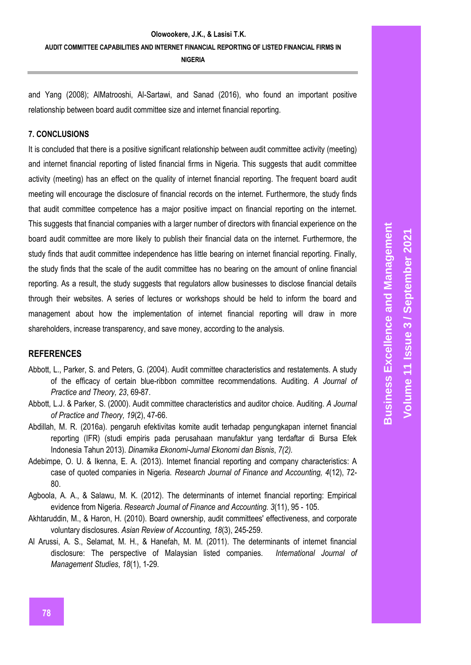and Yang (2008); AlMatrooshi, Al-Sartawi, and Sanad (2016), who found an important positive relationship between board audit committee size and internet financial reporting.

## **7. CONCLUSIONS**

It is concluded that there is a positive significant relationship between audit committee activity (meeting) and internet financial reporting of listed financial firms in Nigeria. This suggests that audit committee activity (meeting) has an effect on the quality of internet financial reporting. The frequent board audit meeting will encourage the disclosure of financial records on the internet. Furthermore, the study finds that audit committee competence has a major positive impact on financial reporting on the internet. This suggests that financial companies with a larger number of directors with financial experience on the board audit committee are more likely to publish their financial data on the internet. Furthermore, the study finds that audit committee independence has little bearing on internet financial reporting. Finally, the study finds that the scale of the audit committee has no bearing on the amount of online financial reporting. As a result, the study suggests that regulators allow businesses to disclose financial details through their websites. A series of lectures or workshops should be held to inform the board and management about how the implementation of internet financial reporting will draw in more shareholders, increase transparency, and save money, according to the analysis.

### **REFERENCES**

- Abbott, L., Parker, S. and Peters, G. (2004). Audit committee characteristics and restatements. A study of the efficacy of certain blue-ribbon committee recommendations. Auditing. *A Journal of Practice and Theory, 23*, 69-87.
- Abbott*,* L.J. & Parker*,* S. (2000). Audit committee characteristics and auditor choice. Auditing. *A Journal of Practice and Theory, 19*(2), 47-66.
- Abdillah, M. R. (2016a). pengaruh efektivitas komite audit terhadap pengungkapan internet financial reporting (IFR) (studi empiris pada perusahaan manufaktur yang terdaftar di Bursa Efek Indonesia Tahun 2013). *Dinamika Ekonomi-Jurnal Ekonomi dan Bisnis*, *7(2).*
- Adebimpe, O. U. & Ikenna, E. A. (2013). Internet financial reporting and company characteristics: A case of quoted companies in Nigeria. *Research Journal of Finance and Accounting, 4*(12), 72- 80.
- Agboola, A. A., & Salawu, M. K. (2012). The determinants of internet financial reporting: Empirical evidence from Nigeria. *Research Journal of Finance and Accounting. 3*(11), 95 - 105.
- Akhtaruddin, M., & Haron, H. (2010). Board ownership, audit committees' effectiveness, and corporate voluntary disclosures. *Asian Review of Accounting, 18*(3), 245-259.
- Al Arussi, A. S., Selamat, M. H., & Hanefah, M. M. (2011). The determinants of internet financial disclosure: The perspective of Malaysian listed companies. *International Journal of Management Studies*, *18*(1), 1-29.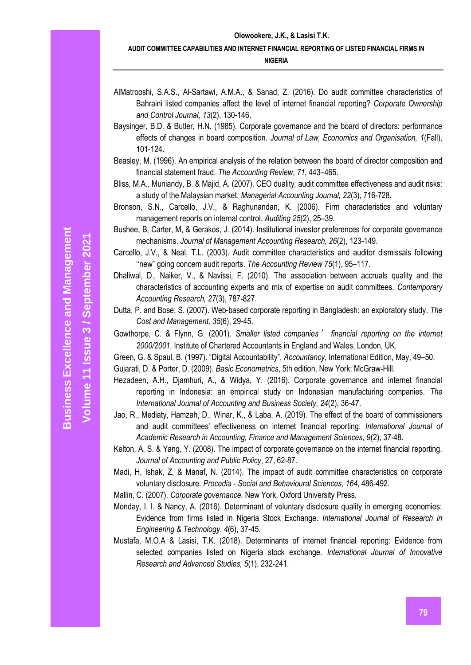**Volume 11 Issue** 

**/ September 2021**

#### **Olowookere, J.K., & Lasisi T.K.**

### **AUDIT COMMITTEE CAPABILITIES AND INTERNET FINANCIAL REPORTING OF LISTED FINANCIAL FIRMS IN**

#### **NIGERIA**

- AlMatrooshi, S.A.S., Al-Sartawi, A.M.A., & Sanad, Z. (2016). Do audit committee characteristics of Bahraini listed companies affect the level of internet financial reporting? *Corporate Ownership and Control Journal, 13*(2), 130-146.
- Baysinger*,* B.D. & Butler*,* H.N. (1985). Corporate governance and the board of directors: performance effects of changes in board composition. *Journal of Law, Economics and Organisation, 1*(Fall), 101-124.
- Beasley, M. (1996). An empirical analysis of the relation between the board of director composition and financial statement fraud. *The Accounting Review*, *71*, 443–465.
- Bliss*,* M.A.*,* Muniandy, B. & Majid, A. (2007). CEO duality*,* audit committee effectiveness and audit risks: a study of the Malaysian market. *Managerial Accounting Journal, 22*(3), 716-728.
- Bronson, S.N., Carcello, J.V., & Raghunandan, K. (2006). Firm characteristics and voluntary management reports on internal control. *Auditing 25*(2), 25–39.
- Bushee, B, Carter, M, & Gerakos, J. (2014). Institutional investor preferences for corporate governance mechanisms. *Journal of Management Accounting Research, 26*(2), 123-149.
- Carcello, J.V., & Neal, T.L. (2003). Audit committee characteristics and auditor dismissals following ''new" going concern audit reports. *The Accounting Review 75*(1), 95–117.
- Dhaliwal, D., Naiker, V., & Navissi, F. (2010). The association between accruals quality and the characteristics of accounting experts and mix of expertise on audit committees. *Contemporary Accounting Research, 27*(3), 787-827.
- Dutta, P. and Bose, S. (2007). Web-based corporate reporting in Bangladesh: an exploratory study. *The Cost and Management, 35*(6), 29-45.
- Gowthorpe, C. & Flynn, G. (2001). *Smaller listed companies*' *financial reporting on the internet 2000/2001*, Institute of Chartered Accountants in England and Wales, London, UK.
- Green, G. & Spaul, B. (1997). "Digital Accountability", *Accountancy*, International Edition, May, 49–50.

Gujarati, D. & Porter, D. (2009). *Basic Econometrics*, 5th edition, New York: McGraw-Hill.

- Hezadeen, A.H., Djamhuri, A., & Widya, Y. (2016). Corporate governance and internet financial reporting in Indonesia: an empirical study on Indonesian manufacturing companies. *The International Journal of Accounting and Business Society, 24*(2), 36-47.
- Jao, R., Mediaty, Hamzah, D., Winar, K., & Laba, A. (2019). The effect of the board of commissioners and audit committees' effectiveness on internet financial reporting. *International Journal of Academic Research in Accounting, Finance and Management Sciences, 9*(2), 37-48.
- Kelton, A. S. & Yang, Y. (2008). The impact of corporate governance on the internet financial reporting. *Journal of Accounting and Public Policy*, 27, 62-87.
- Madi, H, Ishak, Z, & Manaf, N. (2014). The impact of audit committee characteristics on corporate voluntary disclosure. *Procedia - Social and Behavioural Sciences, 164*, 486-492.

Mallin, C. (2007). *Corporate governance.* New York, Oxford University Press.

- Monday, I. I. & Nancy, A. (2016). Determinant of voluntary disclosure quality in emerging economies: Evidence from firms listed in Nigeria Stock Exchange. *International Journal of Research in Engineering & Technology*, *4*(6), 37-45.
- Mustafa, M.O.A & Lasisi, T.K. (2018). Determinants of internet financial reporting: Evidence from selected companies listed on Nigeria stock exchange. *International Journal of Innovative Research and Advanced Studies, 5*(1), 232-241.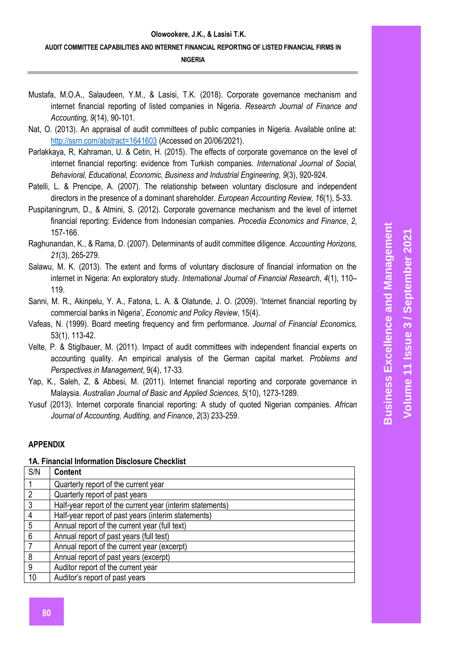- Mustafa, M.O.A., Salaudeen, Y.M., & Lasisi, T.K. (2018). Corporate governance mechanism and internet financial reporting of listed companies in Nigeria. *Research Journal of Finance and Accounting, 9*(14), 90-101.
- Nat, O. (2013). An appraisal of audit committees of public companies in Nigeria. Available online at: <http://ssrn.com/abstract=1641603> (Accessed on 20/06/2021).
- Parlakkaya, R, Kahraman, U. & Cetin, H. (2015). The effects of corporate governance on the level of internet financial reporting: evidence from Turkish companies. *International Journal of Social, Behavioral, Educational, Economic, Business and Industrial Engineering, 9*(3), 920-924.
- Patelli*,* L. & Prencipe, A. (2007). The relationship between voluntary disclosure and independent directors in the presence of a dominant shareholder. *European Accounting Review, 16*(1), 5-33.
- Puspitaningrum, D., & Atmini, S. (2012). Corporate governance mechanism and the level of internet financial reporting: Evidence from Indonesian companies. *Procedia Economics and Finance*, *2*, 157-166.
- Raghunandan, K., & Rama, D. (2007). Determinants of audit committee diligence. *Accounting Horizons, 21*(3), 265-279.
- Salawu, M. K. (2013). The extent and forms of voluntary disclosure of financial information on the internet in Nigeria: An exploratory study. *International Journal of Financial Research*, *4*(1), 110– 119.
- Sanni, M. R., Akinpelu, Y. A., Fatona, L. A. & Olatunde, J. O. (2009). 'Internet financial reporting by commercial banks in Nigeria', *Economic and Policy Review*, 15(4).
- Vafeas, N. (1999). Board meeting frequency and firm performance. *Journal of Financial Economics,*  53(1), 113-42.
- Velte, P. & Stiglbauer, M. (2011). Impact of audit committees with independent financial experts on accounting quality. An empirical analysis of the German capital market. *Problems and Perspectives in Management*, 9(4), 17-33.
- Yap, K., Saleh, Z, & Abbesi, M. (2011). Internet financial reporting and corporate governance in Malaysia. *Australian Journal of Basic and Applied Sciences, 5*(10), 1273-1289.
- Yusuf (2013). Internet corporate financial reporting: A study of quoted Nigerian companies. *African Journal of Accounting, Auditing, and Finance*, *2*(3) 233-259.

## **APPENDIX**

## **1A. Financial Information Disclosure Checklist**

| S/N            | <b>Content</b>                                            |
|----------------|-----------------------------------------------------------|
| $\overline{1}$ | Quarterly report of the current year                      |
| $\overline{2}$ | Quarterly report of past years                            |
| 3              | Half-year report of the current year (interim statements) |
| -4             | Half-year report of past years (interim statements)       |
| -5             | Annual report of the current year (full text)             |
| 6              | Annual report of past years (full test)                   |
| $\overline{7}$ | Annual report of the current year (excerpt)               |
| 8              | Annual report of past years (excerpt)                     |
| 9              | Auditor report of the current year                        |
| 10             | Auditor's report of past years                            |
|                |                                                           |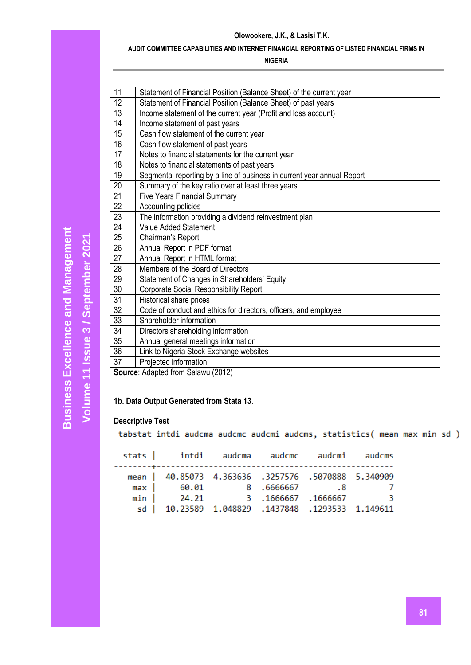### **Olowookere, J.K., & Lasisi T.K.**

## **AUDIT COMMITTEE CAPABILITIES AND INTERNET FINANCIAL REPORTING OF LISTED FINANCIAL FIRMS IN**

**NIGERIA**

| 11 | Statement of Financial Position (Balance Sheet) of the current year     |
|----|-------------------------------------------------------------------------|
| 12 | Statement of Financial Position (Balance Sheet) of past years           |
| 13 | Income statement of the current year (Profit and loss account)          |
| 14 | Income statement of past years                                          |
| 15 | Cash flow statement of the current year                                 |
| 16 | Cash flow statement of past years                                       |
| 17 | Notes to financial statements for the current year                      |
| 18 | Notes to financial statements of past years                             |
| 19 | Segmental reporting by a line of business in current year annual Report |
| 20 | Summary of the key ratio over at least three years                      |
| 21 | <b>Five Years Financial Summary</b>                                     |
| 22 | Accounting policies                                                     |
| 23 | The information providing a dividend reinvestment plan                  |
| 24 | Value Added Statement                                                   |
| 25 | Chairman's Report                                                       |
| 26 | Annual Report in PDF format                                             |
| 27 | Annual Report in HTML format                                            |
| 28 | Members of the Board of Directors                                       |
| 29 | Statement of Changes in Shareholders' Equity                            |
| 30 | <b>Corporate Social Responsibility Report</b>                           |
| 31 | Historical share prices                                                 |
| 32 | Code of conduct and ethics for directors, officers, and employee        |
| 33 | Shareholder information                                                 |
| 34 | Directors shareholding information                                      |
| 35 | Annual general meetings information                                     |
| 36 | Link to Nigeria Stock Exchange websites                                 |
| 37 | Projected information                                                   |

**Source**: Adapted from Salawu (2012)

## **1b. Data Output Generated from Stata 13**.

## **Descriptive Test**

tabstat intdi audcma audcmc audcmi audcms, statistics( mean max min sd )

|    |  | stats intdi audcma audcmc audcmi audcms             |  |
|----|--|-----------------------------------------------------|--|
|    |  | mean   40.85073 4.363636 .3257576 .5070888 5.340909 |  |
| -7 |  | max   60.01 8 .6666667 .8                           |  |
|    |  | min   24.21 3 .1666667 .1666667 3                   |  |
|    |  | sd   10.23589 1.048829 .1437848 .1293533 1.149611   |  |

**Volume 11 Issue** 

**/ September 2021**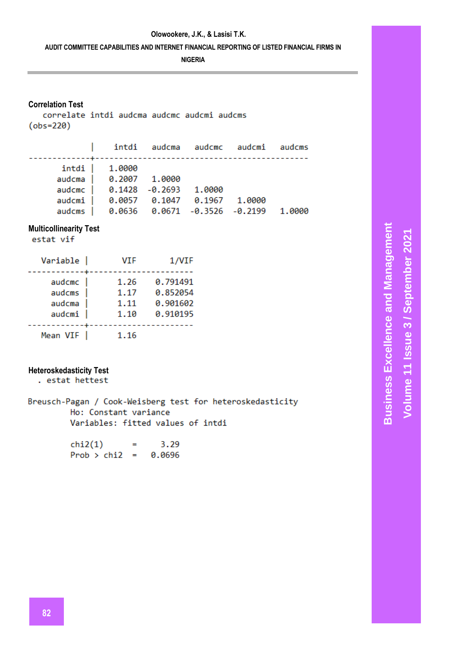### **Olowookere, J.K., & Lasisi T.K.**

**AUDIT COMMITTEE CAPABILITIES AND INTERNET FINANCIAL REPORTING OF LISTED FINANCIAL FIRMS IN** 

**NIGERIA**

**Correlation Test**

correlate intdi audcma audcmc audcmi audcms  $(obs=220)$ 

|                                           |                                                                          |                                                                      | intdi audcma audcmc audcmi audcms |  |
|-------------------------------------------|--------------------------------------------------------------------------|----------------------------------------------------------------------|-----------------------------------|--|
| ------------- <del>-</del> ----<br>audcmi | intdi   1.0000<br>audcma 0.2007 1.0000<br>audcmc   0.1428 -0.2693 1.0000 | -------------------------------<br>$0.0057$ $0.1047$ $0.1967$ 1.0000 |                                   |  |
|                                           | audcms   0.0636 0.0671 -0.3526 -0.2199 1.0000                            |                                                                      |                                   |  |

### **Multicollinearity Test**

estat vif

| Variable                               | VTF                          | 1/VIF                                        |
|----------------------------------------|------------------------------|----------------------------------------------|
| audcmc  <br>audcms<br>audcma<br>audcmi | 1.26<br>1.17<br>1.11<br>1.10 | 0.791491<br>0.852054<br>0.901602<br>0.910195 |
| Mean VIF                               | 1.16                         |                                              |

### **Heteroskedasticity Test**

. estat hettest

Breusch-Pagan / Cook-Weisberg test for heteroskedasticity Ho: Constant variance Variables: fitted values of intdi

| chi2(1)       | = | 3.29   |
|---------------|---|--------|
| Prob $>$ chi2 |   | 0.0696 |